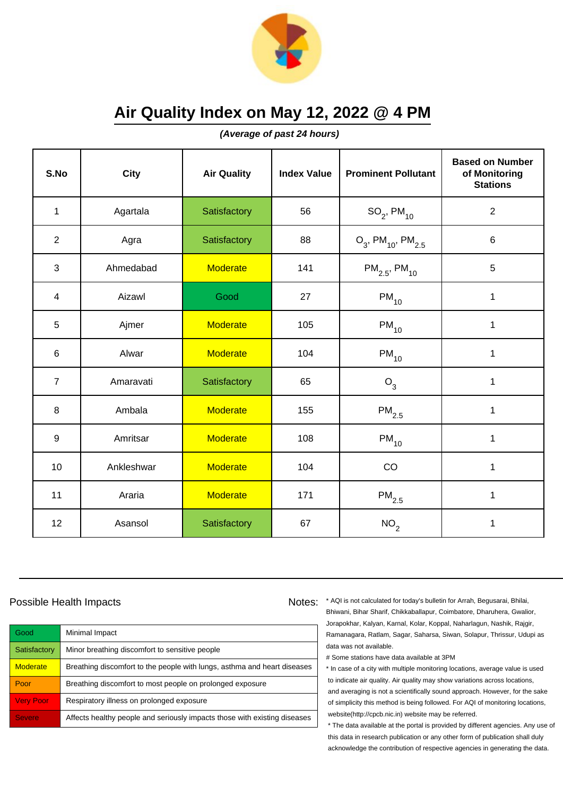

**(Average of past 24 hours)**

| S.No             | City       | <b>Air Quality</b> | <b>Index Value</b> | <b>Prominent Pollutant</b>                   | <b>Based on Number</b><br>of Monitoring<br><b>Stations</b> |
|------------------|------------|--------------------|--------------------|----------------------------------------------|------------------------------------------------------------|
| $\mathbf{1}$     | Agartala   | Satisfactory       | 56                 | $SO_2$ , PM <sub>10</sub>                    | $\overline{2}$                                             |
| $\overline{2}$   | Agra       | Satisfactory       | 88                 | $O_3$ , PM <sub>10</sub> , PM <sub>2.5</sub> | $\,6$                                                      |
| 3                | Ahmedabad  | <b>Moderate</b>    | 141                | $PM_{2.5}$ , PM <sub>10</sub>                | 5                                                          |
| 4                | Aizawl     | Good               | 27                 | $PM_{10}$                                    | 1                                                          |
| 5                | Ajmer      | <b>Moderate</b>    | 105                | $PM_{10}$                                    | 1                                                          |
| 6                | Alwar      | <b>Moderate</b>    | 104                | $PM_{10}$                                    | 1                                                          |
| $\overline{7}$   | Amaravati  | Satisfactory       | 65                 | $O_3$                                        | 1                                                          |
| 8                | Ambala     | <b>Moderate</b>    | 155                | $PM_{2.5}$                                   | 1                                                          |
| $\boldsymbol{9}$ | Amritsar   | <b>Moderate</b>    | 108                | $PM_{10}$                                    | $\mathbf 1$                                                |
| 10               | Ankleshwar | <b>Moderate</b>    | 104                | CO                                           | 1                                                          |
| 11               | Araria     | <b>Moderate</b>    | 171                | $PM_{2.5}$                                   | 1                                                          |
| 12               | Asansol    | Satisfactory       | 67                 | NO <sub>2</sub>                              | 1                                                          |

### Possible Health Impacts

| Good             | Minimal Impact                                                            |
|------------------|---------------------------------------------------------------------------|
| Satisfactory     | Minor breathing discomfort to sensitive people                            |
| <b>Moderate</b>  | Breathing discomfort to the people with lungs, asthma and heart diseases  |
| Poor             | Breathing discomfort to most people on prolonged exposure                 |
| <b>Very Poor</b> | Respiratory illness on prolonged exposure                                 |
| <b>Severe</b>    | Affects healthy people and seriously impacts those with existing diseases |

Notes: \* AQI is not calculated for today's bulletin for Arrah, Begusarai, Bhilai, Bhiwani, Bihar Sharif, Chikkaballapur, Coimbatore, Dharuhera, Gwalior, Jorapokhar, Kalyan, Karnal, Kolar, Koppal, Naharlagun, Nashik, Rajgir, Ramanagara, Ratlam, Sagar, Saharsa, Siwan, Solapur, Thrissur, Udupi as data was not available.

# Some stations have data available at 3PM

\* In case of a city with multiple monitoring locations, average value is used to indicate air quality. Air quality may show variations across locations, and averaging is not a scientifically sound approach. However, for the sake of simplicity this method is being followed. For AQI of monitoring locations, website(http://cpcb.nic.in) website may be referred.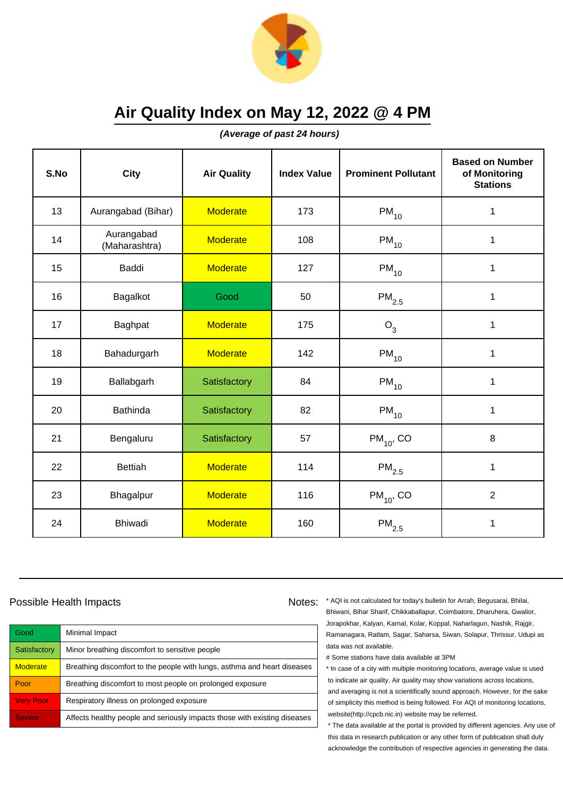

**(Average of past 24 hours)**

| S.No | <b>City</b>                 | <b>Air Quality</b> | <b>Index Value</b> | <b>Prominent Pollutant</b> | <b>Based on Number</b><br>of Monitoring<br><b>Stations</b> |
|------|-----------------------------|--------------------|--------------------|----------------------------|------------------------------------------------------------|
| 13   | Aurangabad (Bihar)          | <b>Moderate</b>    | 173                | $PM_{10}$                  | 1                                                          |
| 14   | Aurangabad<br>(Maharashtra) | <b>Moderate</b>    | 108                | $PM_{10}$                  | 1                                                          |
| 15   | Baddi                       | <b>Moderate</b>    | 127                | $PM_{10}$                  | 1                                                          |
| 16   | Bagalkot                    | Good               | 50                 | $\mathsf{PM}_{2.5}$        | 1                                                          |
| 17   | Baghpat                     | <b>Moderate</b>    | 175                | $O_3$                      | 1                                                          |
| 18   | Bahadurgarh                 | <b>Moderate</b>    | 142                | $PM_{10}$                  | 1                                                          |
| 19   | Ballabgarh                  | Satisfactory       | 84                 | $PM_{10}$                  | 1                                                          |
| 20   | <b>Bathinda</b>             | Satisfactory       | 82                 | $PM_{10}$                  | 1                                                          |
| 21   | Bengaluru                   | Satisfactory       | 57                 | $PM_{10}$ , CO             | 8                                                          |
| 22   | <b>Bettiah</b>              | <b>Moderate</b>    | 114                | $\mathsf{PM}_{2.5}$        | 1                                                          |
| 23   | Bhagalpur                   | <b>Moderate</b>    | 116                | $PM_{10}$ , CO             | $\overline{2}$                                             |
| 24   | <b>Bhiwadi</b>              | <b>Moderate</b>    | 160                | $\mathsf{PM}_{2.5}$        | 1                                                          |

## Possible Health Impacts

| Good             | Minimal Impact                                                            |
|------------------|---------------------------------------------------------------------------|
| Satisfactory     | Minor breathing discomfort to sensitive people                            |
| <b>Moderate</b>  | Breathing discomfort to the people with lungs, asthma and heart diseases  |
| Poor             | Breathing discomfort to most people on prolonged exposure                 |
| <b>Very Poor</b> | Respiratory illness on prolonged exposure                                 |
| <b>Severe</b>    | Affects healthy people and seriously impacts those with existing diseases |

Notes: \* AQI is not calculated for today's bulletin for Arrah, Begusarai, Bhilai, Bhiwani, Bihar Sharif, Chikkaballapur, Coimbatore, Dharuhera, Gwalior, Jorapokhar, Kalyan, Karnal, Kolar, Koppal, Naharlagun, Nashik, Rajgir, Ramanagara, Ratlam, Sagar, Saharsa, Siwan, Solapur, Thrissur, Udupi as data was not available.

# Some stations have data available at 3PM

\* In case of a city with multiple monitoring locations, average value is used to indicate air quality. Air quality may show variations across locations, and averaging is not a scientifically sound approach. However, for the sake of simplicity this method is being followed. For AQI of monitoring locations, website(http://cpcb.nic.in) website may be referred.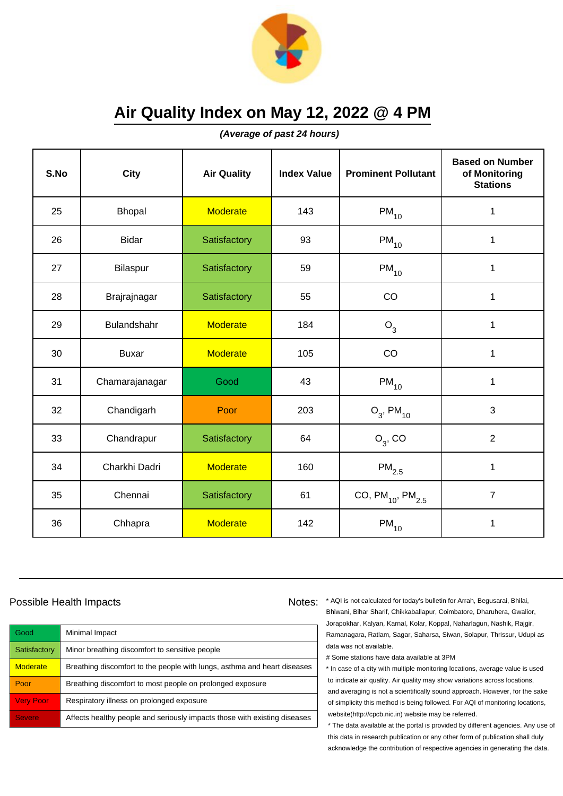

**(Average of past 24 hours)**

| S.No | <b>City</b>    | <b>Air Quality</b> | <b>Index Value</b> | <b>Prominent Pollutant</b> | <b>Based on Number</b><br>of Monitoring<br><b>Stations</b> |
|------|----------------|--------------------|--------------------|----------------------------|------------------------------------------------------------|
| 25   | <b>Bhopal</b>  | <b>Moderate</b>    | 143                | $PM_{10}$                  | 1                                                          |
| 26   | <b>Bidar</b>   | Satisfactory       | 93                 | $\mathsf{PM}_{10}$         | 1                                                          |
| 27   | Bilaspur       | Satisfactory       | 59                 | $\mathsf{PM}_{10}$         | $\mathbf 1$                                                |
| 28   | Brajrajnagar   | Satisfactory       | 55                 | CO                         | 1                                                          |
| 29   | Bulandshahr    | <b>Moderate</b>    | 184                | $O_3$                      | $\mathbf 1$                                                |
| 30   | <b>Buxar</b>   | <b>Moderate</b>    | 105                | CO                         | 1                                                          |
| 31   | Chamarajanagar | Good               | 43                 | $PM_{10}$                  | 1                                                          |
| 32   | Chandigarh     | Poor               | 203                | $O_3$ , PM <sub>10</sub>   | 3                                                          |
| 33   | Chandrapur     | Satisfactory       | 64                 | $O_3$ , CO                 | $\overline{2}$                                             |
| 34   | Charkhi Dadri  | <b>Moderate</b>    | 160                | $PM_{2.5}$                 | $\mathbf 1$                                                |
| 35   | Chennai        | Satisfactory       | 61                 | CO, $PM_{10}$ , $PM_{2.5}$ | $\overline{7}$                                             |
| 36   | Chhapra        | <b>Moderate</b>    | 142                | $\mathsf{PM}_{10}$         | $\mathbf 1$                                                |

### Possible Health Impacts

| Good             | Minimal Impact                                                            |
|------------------|---------------------------------------------------------------------------|
| Satisfactory     | Minor breathing discomfort to sensitive people                            |
| <b>Moderate</b>  | Breathing discomfort to the people with lungs, asthma and heart diseases  |
| Poor             | Breathing discomfort to most people on prolonged exposure                 |
| <b>Very Poor</b> | Respiratory illness on prolonged exposure                                 |
| <b>Severe</b>    | Affects healthy people and seriously impacts those with existing diseases |

Notes: \* AQI is not calculated for today's bulletin for Arrah, Begusarai, Bhilai, Bhiwani, Bihar Sharif, Chikkaballapur, Coimbatore, Dharuhera, Gwalior, Jorapokhar, Kalyan, Karnal, Kolar, Koppal, Naharlagun, Nashik, Rajgir, Ramanagara, Ratlam, Sagar, Saharsa, Siwan, Solapur, Thrissur, Udupi as data was not available.

# Some stations have data available at 3PM

\* In case of a city with multiple monitoring locations, average value is used to indicate air quality. Air quality may show variations across locations, and averaging is not a scientifically sound approach. However, for the sake of simplicity this method is being followed. For AQI of monitoring locations, website(http://cpcb.nic.in) website may be referred.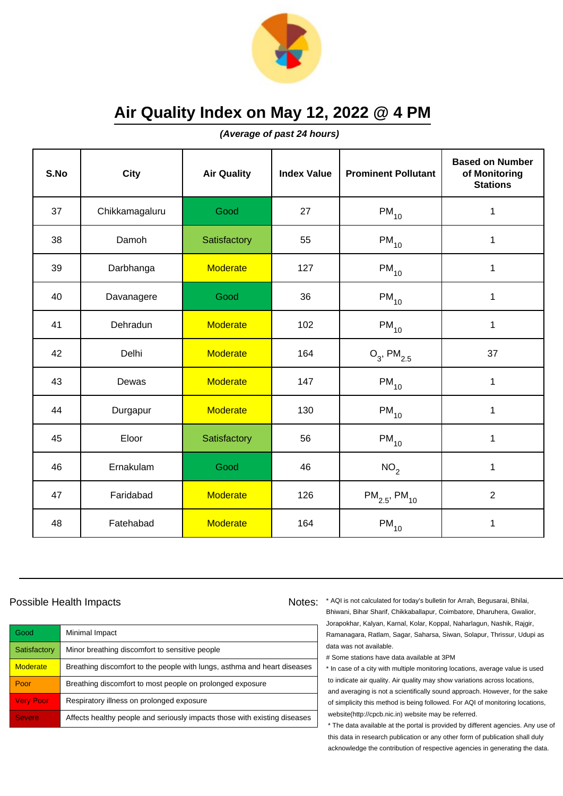

**(Average of past 24 hours)**

| S.No | <b>City</b>    | <b>Air Quality</b> | <b>Index Value</b> | <b>Prominent Pollutant</b>    | <b>Based on Number</b><br>of Monitoring<br><b>Stations</b> |
|------|----------------|--------------------|--------------------|-------------------------------|------------------------------------------------------------|
| 37   | Chikkamagaluru | Good               | 27                 | $PM_{10}$                     | 1                                                          |
| 38   | Damoh          | Satisfactory       | 55                 | $\mathsf{PM}_{10}$            | 1                                                          |
| 39   | Darbhanga      | <b>Moderate</b>    | 127                | $PM_{10}$                     | $\mathbf{1}$                                               |
| 40   | Davanagere     | Good               | 36                 | $PM_{10}$                     | $\mathbf{1}$                                               |
| 41   | Dehradun       | <b>Moderate</b>    | 102                | $PM_{10}$                     | $\mathbf{1}$                                               |
| 42   | Delhi          | <b>Moderate</b>    | 164                | $O_3$ , PM <sub>2.5</sub>     | 37                                                         |
| 43   | Dewas          | <b>Moderate</b>    | 147                | $\mathsf{PM}_{10}$            | 1                                                          |
| 44   | Durgapur       | <b>Moderate</b>    | 130                | $PM_{10}$                     | 1                                                          |
| 45   | Eloor          | Satisfactory       | 56                 | $PM_{10}$                     | $\mathbf 1$                                                |
| 46   | Ernakulam      | Good               | 46                 | NO <sub>2</sub>               | $\mathbf{1}$                                               |
| 47   | Faridabad      | <b>Moderate</b>    | 126                | $PM_{2.5}$ , PM <sub>10</sub> | $\overline{2}$                                             |
| 48   | Fatehabad      | <b>Moderate</b>    | 164                | $PM_{10}$                     | 1                                                          |

#### Possible Health Impacts

| Good             | Minimal Impact                                                            |
|------------------|---------------------------------------------------------------------------|
| Satisfactory     | Minor breathing discomfort to sensitive people                            |
| <b>Moderate</b>  | Breathing discomfort to the people with lungs, asthma and heart diseases  |
| Poor             | Breathing discomfort to most people on prolonged exposure                 |
| <b>Very Poor</b> | Respiratory illness on prolonged exposure                                 |
| <b>Severe</b>    | Affects healthy people and seriously impacts those with existing diseases |

Notes: \* AQI is not calculated for today's bulletin for Arrah, Begusarai, Bhilai, Bhiwani, Bihar Sharif, Chikkaballapur, Coimbatore, Dharuhera, Gwalior, Jorapokhar, Kalyan, Karnal, Kolar, Koppal, Naharlagun, Nashik, Rajgir, Ramanagara, Ratlam, Sagar, Saharsa, Siwan, Solapur, Thrissur, Udupi as data was not available.

# Some stations have data available at 3PM

\* In case of a city with multiple monitoring locations, average value is used to indicate air quality. Air quality may show variations across locations, and averaging is not a scientifically sound approach. However, for the sake of simplicity this method is being followed. For AQI of monitoring locations, website(http://cpcb.nic.in) website may be referred.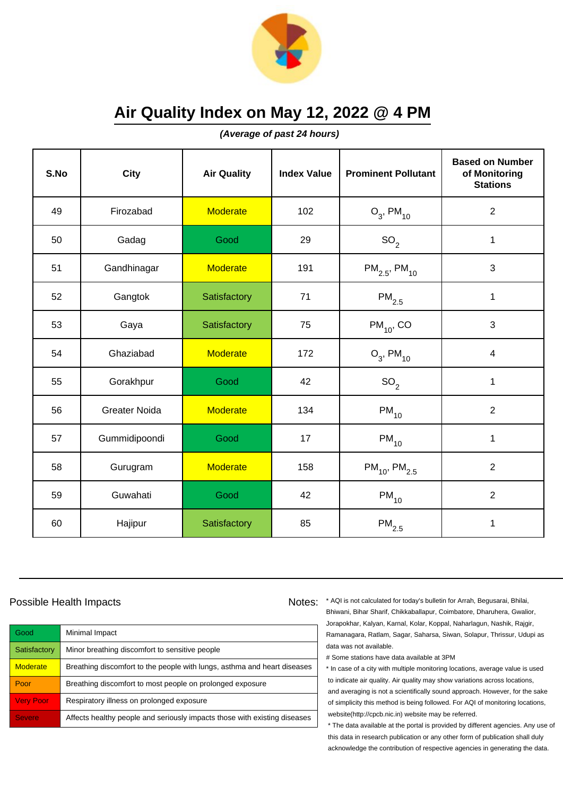

**(Average of past 24 hours)**

| S.No | <b>City</b>          | <b>Air Quality</b> | <b>Index Value</b> | <b>Prominent Pollutant</b>    | <b>Based on Number</b><br>of Monitoring<br><b>Stations</b> |
|------|----------------------|--------------------|--------------------|-------------------------------|------------------------------------------------------------|
| 49   | Firozabad            | <b>Moderate</b>    | 102                | $O_3$ , PM <sub>10</sub>      | $\overline{2}$                                             |
| 50   | Gadag                | Good               | 29                 | SO <sub>2</sub>               | 1                                                          |
| 51   | Gandhinagar          | <b>Moderate</b>    | 191                | $PM_{2.5}$ , PM <sub>10</sub> | 3                                                          |
| 52   | Gangtok              | Satisfactory       | 71                 | $PM_{2.5}$                    | 1                                                          |
| 53   | Gaya                 | Satisfactory       | 75                 | $PM_{10}$ , CO                | 3                                                          |
| 54   | Ghaziabad            | <b>Moderate</b>    | 172                | $O_3$ , PM <sub>10</sub>      | $\overline{\mathcal{A}}$                                   |
| 55   | Gorakhpur            | Good               | 42                 | SO <sub>2</sub>               | 1                                                          |
| 56   | <b>Greater Noida</b> | <b>Moderate</b>    | 134                | $PM_{10}$                     | $\overline{2}$                                             |
| 57   | Gummidipoondi        | Good               | 17                 | $PM_{10}$                     | $\mathbf{1}$                                               |
| 58   | Gurugram             | <b>Moderate</b>    | 158                | $PM_{10}$ , PM <sub>2.5</sub> | $\overline{2}$                                             |
| 59   | Guwahati             | Good               | 42                 | $PM_{10}$                     | $\overline{2}$                                             |
| 60   | Hajipur              | Satisfactory       | 85                 | $PM_{2.5}$                    | 1                                                          |

## Possible Health Impacts

| Good             | Minimal Impact                                                            |
|------------------|---------------------------------------------------------------------------|
| Satisfactory     | Minor breathing discomfort to sensitive people                            |
| <b>Moderate</b>  | Breathing discomfort to the people with lungs, asthma and heart diseases  |
| Poor             | Breathing discomfort to most people on prolonged exposure                 |
| <b>Very Poor</b> | Respiratory illness on prolonged exposure                                 |
| <b>Severe</b>    | Affects healthy people and seriously impacts those with existing diseases |

Notes: \* AQI is not calculated for today's bulletin for Arrah, Begusarai, Bhilai, Bhiwani, Bihar Sharif, Chikkaballapur, Coimbatore, Dharuhera, Gwalior, Jorapokhar, Kalyan, Karnal, Kolar, Koppal, Naharlagun, Nashik, Rajgir, Ramanagara, Ratlam, Sagar, Saharsa, Siwan, Solapur, Thrissur, Udupi as data was not available.

# Some stations have data available at 3PM

\* In case of a city with multiple monitoring locations, average value is used to indicate air quality. Air quality may show variations across locations, and averaging is not a scientifically sound approach. However, for the sake of simplicity this method is being followed. For AQI of monitoring locations, website(http://cpcb.nic.in) website may be referred.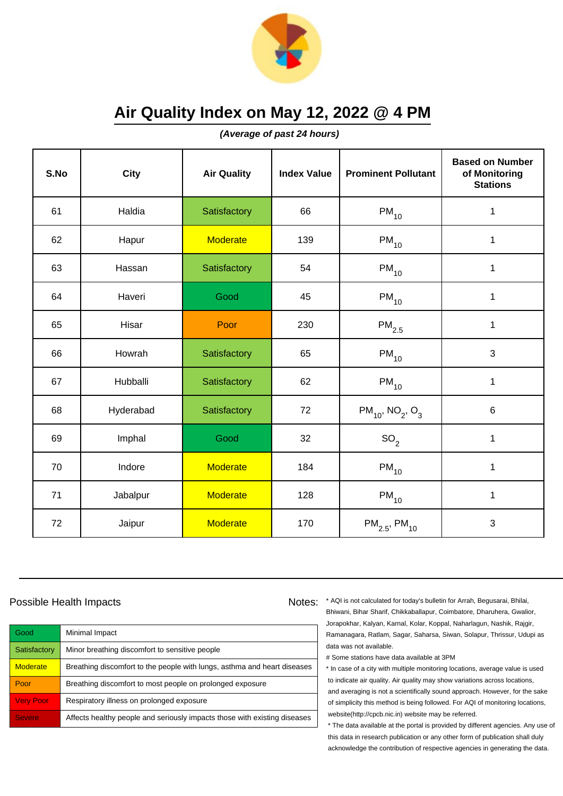

**(Average of past 24 hours)**

| S.No | <b>City</b> | <b>Air Quality</b> | <b>Index Value</b> | <b>Prominent Pollutant</b>                   | <b>Based on Number</b><br>of Monitoring<br><b>Stations</b> |
|------|-------------|--------------------|--------------------|----------------------------------------------|------------------------------------------------------------|
| 61   | Haldia      | Satisfactory       | 66                 | $PM_{10}$                                    | 1                                                          |
| 62   | Hapur       | <b>Moderate</b>    | 139                | $PM_{10}$                                    | 1                                                          |
| 63   | Hassan      | Satisfactory       | 54                 | $PM_{10}$                                    | 1                                                          |
| 64   | Haveri      | Good               | 45                 | $PM_{10}$                                    | 1                                                          |
| 65   | Hisar       | Poor               | 230                | $PM_{2.5}$                                   | $\mathbf{1}$                                               |
| 66   | Howrah      | Satisfactory       | 65                 | $PM_{10}$                                    | 3                                                          |
| 67   | Hubballi    | Satisfactory       | 62                 | $PM_{10}$                                    | $\mathbf{1}$                                               |
| 68   | Hyderabad   | Satisfactory       | 72                 | $PM_{10}$ , NO <sub>2</sub> , O <sub>3</sub> | $6\phantom{1}$                                             |
| 69   | Imphal      | Good               | 32                 | SO <sub>2</sub>                              | $\mathbf{1}$                                               |
| 70   | Indore      | <b>Moderate</b>    | 184                | $PM_{10}$                                    | 1                                                          |
| 71   | Jabalpur    | <b>Moderate</b>    | 128                | $PM_{10}$                                    | 1                                                          |
| 72   | Jaipur      | <b>Moderate</b>    | 170                | $PM_{2.5}$ , PM <sub>10</sub>                | $\mathbf{3}$                                               |

## Possible Health Impacts

| Good             | Minimal Impact                                                            |
|------------------|---------------------------------------------------------------------------|
| Satisfactory     | Minor breathing discomfort to sensitive people                            |
| <b>Moderate</b>  | Breathing discomfort to the people with lungs, asthma and heart diseases  |
| Poor             | Breathing discomfort to most people on prolonged exposure                 |
| <b>Very Poor</b> | Respiratory illness on prolonged exposure                                 |
| <b>Severe</b>    | Affects healthy people and seriously impacts those with existing diseases |

Notes: \* AQI is not calculated for today's bulletin for Arrah, Begusarai, Bhilai, Bhiwani, Bihar Sharif, Chikkaballapur, Coimbatore, Dharuhera, Gwalior, Jorapokhar, Kalyan, Karnal, Kolar, Koppal, Naharlagun, Nashik, Rajgir, Ramanagara, Ratlam, Sagar, Saharsa, Siwan, Solapur, Thrissur, Udupi as data was not available.

# Some stations have data available at 3PM

\* In case of a city with multiple monitoring locations, average value is used to indicate air quality. Air quality may show variations across locations, and averaging is not a scientifically sound approach. However, for the sake of simplicity this method is being followed. For AQI of monitoring locations, website(http://cpcb.nic.in) website may be referred.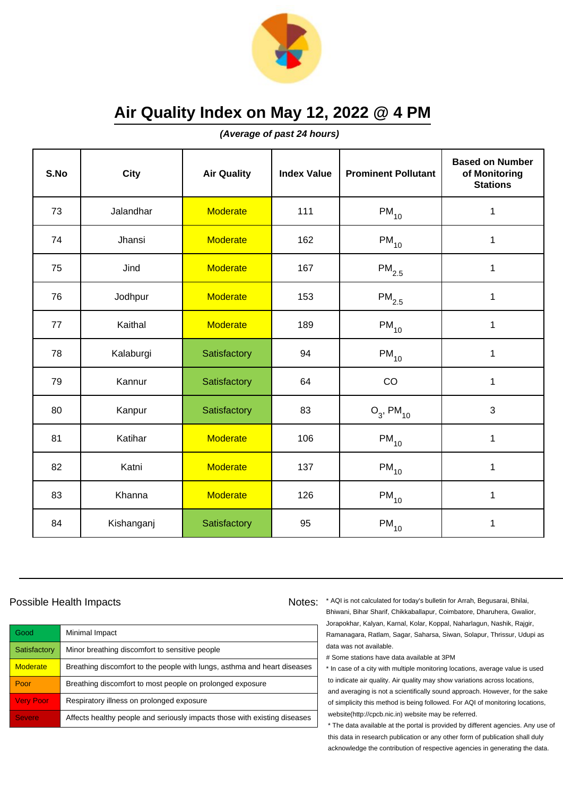

**(Average of past 24 hours)**

| S.No | <b>City</b> | <b>Air Quality</b> | <b>Index Value</b> | <b>Prominent Pollutant</b> | <b>Based on Number</b><br>of Monitoring<br><b>Stations</b> |
|------|-------------|--------------------|--------------------|----------------------------|------------------------------------------------------------|
| 73   | Jalandhar   | <b>Moderate</b>    | 111                | $PM_{10}$                  | 1                                                          |
| 74   | Jhansi      | Moderate           | 162                | $PM_{10}$                  | $\mathbf{1}$                                               |
| 75   | Jind        | <b>Moderate</b>    | 167                | $\mathsf{PM}_{2.5}$        | 1                                                          |
| 76   | Jodhpur     | Moderate           | 153                | $\mathsf{PM}_{2.5}$        | 1                                                          |
| 77   | Kaithal     | <b>Moderate</b>    | 189                | $PM_{10}$                  | $\mathbf 1$                                                |
| 78   | Kalaburgi   | Satisfactory       | 94                 | $PM_{10}$                  | 1                                                          |
| 79   | Kannur      | Satisfactory       | 64                 | CO                         | 1                                                          |
| 80   | Kanpur      | Satisfactory       | 83                 | $O_3$ , PM <sub>10</sub>   | 3                                                          |
| 81   | Katihar     | <b>Moderate</b>    | 106                | $PM_{10}$                  | $\mathbf{1}$                                               |
| 82   | Katni       | <b>Moderate</b>    | 137                | $PM_{10}$                  | 1                                                          |
| 83   | Khanna      | <b>Moderate</b>    | 126                | $PM_{10}$                  | 1                                                          |
| 84   | Kishanganj  | Satisfactory       | 95                 | $PM_{10}$                  | 1                                                          |

## Possible Health Impacts

| Good             | Minimal Impact                                                            |
|------------------|---------------------------------------------------------------------------|
| Satisfactory     | Minor breathing discomfort to sensitive people                            |
| <b>Moderate</b>  | Breathing discomfort to the people with lungs, asthma and heart diseases  |
| Poor             | Breathing discomfort to most people on prolonged exposure                 |
| <b>Very Poor</b> | Respiratory illness on prolonged exposure                                 |
| <b>Severe</b>    | Affects healthy people and seriously impacts those with existing diseases |

Notes: \* AQI is not calculated for today's bulletin for Arrah, Begusarai, Bhilai, Bhiwani, Bihar Sharif, Chikkaballapur, Coimbatore, Dharuhera, Gwalior, Jorapokhar, Kalyan, Karnal, Kolar, Koppal, Naharlagun, Nashik, Rajgir, Ramanagara, Ratlam, Sagar, Saharsa, Siwan, Solapur, Thrissur, Udupi as data was not available.

# Some stations have data available at 3PM

\* In case of a city with multiple monitoring locations, average value is used to indicate air quality. Air quality may show variations across locations, and averaging is not a scientifically sound approach. However, for the sake of simplicity this method is being followed. For AQI of monitoring locations, website(http://cpcb.nic.in) website may be referred.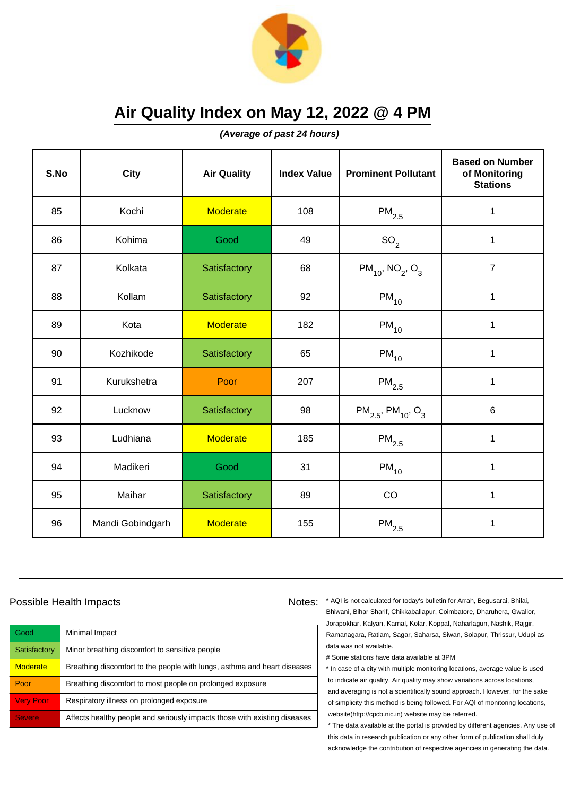

**(Average of past 24 hours)**

| S.No | <b>City</b>      | <b>Air Quality</b> | <b>Index Value</b> | <b>Prominent Pollutant</b>                     | <b>Based on Number</b><br>of Monitoring<br><b>Stations</b> |
|------|------------------|--------------------|--------------------|------------------------------------------------|------------------------------------------------------------|
| 85   | Kochi            | <b>Moderate</b>    | 108                | $\mathsf{PM}_{2.5}$                            | 1                                                          |
| 86   | Kohima           | Good               | 49                 | SO <sub>2</sub>                                | 1                                                          |
| 87   | Kolkata          | Satisfactory       | 68                 | $PM_{10}$ , NO <sub>2</sub> , O <sub>3</sub>   | $\overline{7}$                                             |
| 88   | Kollam           | Satisfactory       | 92                 | $PM_{10}$                                      | 1                                                          |
| 89   | Kota             | <b>Moderate</b>    | 182                | $PM_{10}$                                      | $\mathbf{1}$                                               |
| 90   | Kozhikode        | Satisfactory       | 65                 | $PM_{10}$                                      | 1                                                          |
| 91   | Kurukshetra      | Poor               | 207                | $PM_{2.5}$                                     | 1                                                          |
| 92   | Lucknow          | Satisfactory       | 98                 | $PM_{2.5}$ , PM <sub>10</sub> , O <sub>3</sub> | $\,6$                                                      |
| 93   | Ludhiana         | <b>Moderate</b>    | 185                | $PM_{2.5}$                                     | $\mathbf{1}$                                               |
| 94   | Madikeri         | Good               | 31                 | $PM_{10}$                                      | 1                                                          |
| 95   | Maihar           | Satisfactory       | 89                 | CO                                             | 1                                                          |
| 96   | Mandi Gobindgarh | <b>Moderate</b>    | 155                | $\mathsf{PM}_{2.5}$                            | 1                                                          |

## Possible Health Impacts

| Good             | Minimal Impact                                                            |
|------------------|---------------------------------------------------------------------------|
| Satisfactory     | Minor breathing discomfort to sensitive people                            |
| <b>Moderate</b>  | Breathing discomfort to the people with lungs, asthma and heart diseases  |
| Poor             | Breathing discomfort to most people on prolonged exposure                 |
| <b>Very Poor</b> | Respiratory illness on prolonged exposure                                 |
| <b>Severe</b>    | Affects healthy people and seriously impacts those with existing diseases |

Notes: \* AQI is not calculated for today's bulletin for Arrah, Begusarai, Bhilai, Bhiwani, Bihar Sharif, Chikkaballapur, Coimbatore, Dharuhera, Gwalior, Jorapokhar, Kalyan, Karnal, Kolar, Koppal, Naharlagun, Nashik, Rajgir,

Ramanagara, Ratlam, Sagar, Saharsa, Siwan, Solapur, Thrissur, Udupi as data was not available.

# Some stations have data available at 3PM

\* In case of a city with multiple monitoring locations, average value is used to indicate air quality. Air quality may show variations across locations, and averaging is not a scientifically sound approach. However, for the sake of simplicity this method is being followed. For AQI of monitoring locations, website(http://cpcb.nic.in) website may be referred.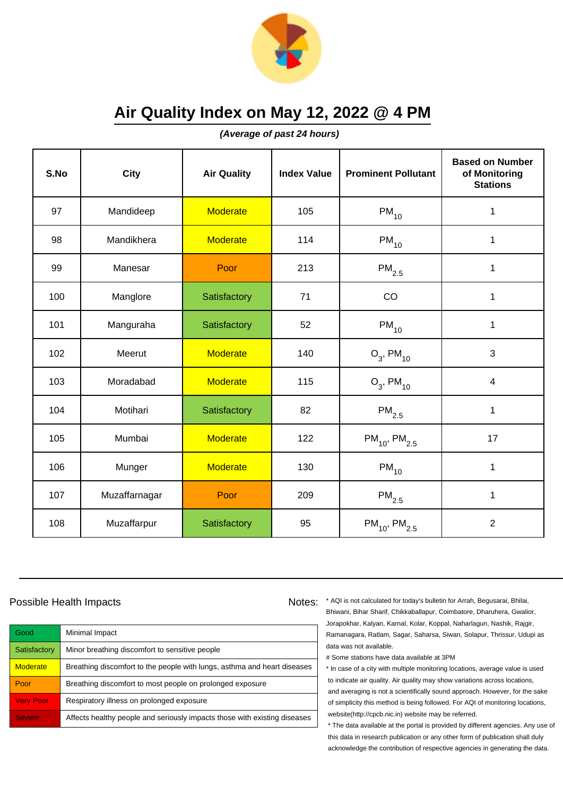

**(Average of past 24 hours)**

| S.No | City          | <b>Air Quality</b> | <b>Index Value</b> | <b>Prominent Pollutant</b>    | <b>Based on Number</b><br>of Monitoring<br><b>Stations</b> |
|------|---------------|--------------------|--------------------|-------------------------------|------------------------------------------------------------|
| 97   | Mandideep     | <b>Moderate</b>    | 105                | $PM_{10}$                     | 1                                                          |
| 98   | Mandikhera    | <b>Moderate</b>    | 114                | $PM_{10}$                     | 1                                                          |
| 99   | Manesar       | Poor               | 213                | $\mathsf{PM}_{2.5}$           | 1                                                          |
| 100  | Manglore      | Satisfactory       | 71                 | CO                            | 1                                                          |
| 101  | Manguraha     | Satisfactory       | 52                 | $PM_{10}$                     | 1                                                          |
| 102  | Meerut        | <b>Moderate</b>    | 140                | $O_3$ , PM <sub>10</sub>      | 3                                                          |
| 103  | Moradabad     | <b>Moderate</b>    | 115                | $O_3$ , PM <sub>10</sub>      | $\overline{4}$                                             |
| 104  | Motihari      | Satisfactory       | 82                 | $PM_{2.5}$                    | 1                                                          |
| 105  | Mumbai        | <b>Moderate</b>    | 122                | $PM_{10}$ , PM <sub>2.5</sub> | 17                                                         |
| 106  | Munger        | <b>Moderate</b>    | 130                | $PM_{10}$                     | 1                                                          |
| 107  | Muzaffarnagar | Poor               | 209                | $\mathsf{PM}_{2.5}$           | 1                                                          |
| 108  | Muzaffarpur   | Satisfactory       | 95                 | $PM_{10}$ , PM <sub>2.5</sub> | $\overline{2}$                                             |

### Possible Health Impacts

| Good             | Minimal Impact                                                            |
|------------------|---------------------------------------------------------------------------|
| Satisfactory     | Minor breathing discomfort to sensitive people                            |
| <b>Moderate</b>  | Breathing discomfort to the people with lungs, asthma and heart diseases  |
| Poor             | Breathing discomfort to most people on prolonged exposure                 |
| <b>Very Poor</b> | Respiratory illness on prolonged exposure                                 |
| <b>Severe</b>    | Affects healthy people and seriously impacts those with existing diseases |

Notes: \* AQI is not calculated for today's bulletin for Arrah, Begusarai, Bhilai, Bhiwani, Bihar Sharif, Chikkaballapur, Coimbatore, Dharuhera, Gwalior, Jorapokhar, Kalyan, Karnal, Kolar, Koppal, Naharlagun, Nashik, Rajgir, Ramanagara, Ratlam, Sagar, Saharsa, Siwan, Solapur, Thrissur, Udupi as data was not available.

# Some stations have data available at 3PM

\* In case of a city with multiple monitoring locations, average value is used to indicate air quality. Air quality may show variations across locations, and averaging is not a scientifically sound approach. However, for the sake of simplicity this method is being followed. For AQI of monitoring locations, website(http://cpcb.nic.in) website may be referred.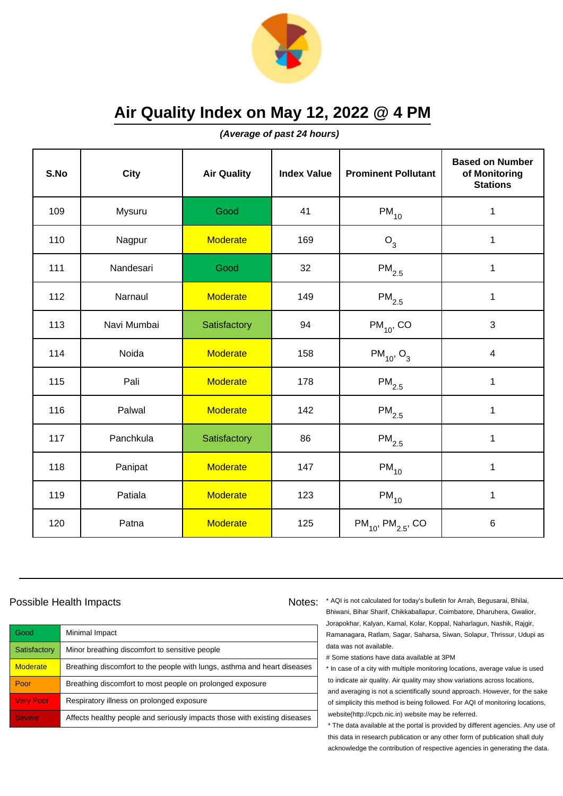

**(Average of past 24 hours)**

| S.No | <b>City</b> | <b>Air Quality</b> | <b>Index Value</b> | <b>Prominent Pollutant</b>         | <b>Based on Number</b><br>of Monitoring<br><b>Stations</b> |
|------|-------------|--------------------|--------------------|------------------------------------|------------------------------------------------------------|
| 109  | Mysuru      | Good               | 41                 | $PM_{10}$                          | 1                                                          |
| 110  | Nagpur      | <b>Moderate</b>    | 169                | O <sub>3</sub>                     | 1                                                          |
| 111  | Nandesari   | Good               | 32                 | $\mathsf{PM}_{2.5}$                | $\mathbf{1}$                                               |
| 112  | Narnaul     | <b>Moderate</b>    | 149                | $PM_{2.5}$                         | $\mathbf{1}$                                               |
| 113  | Navi Mumbai | Satisfactory       | 94                 | $PM_{10}$ , CO                     | $\mathbf{3}$                                               |
| 114  | Noida       | <b>Moderate</b>    | 158                | $PM_{10}$ , O <sub>3</sub>         | $\overline{4}$                                             |
| 115  | Pali        | <b>Moderate</b>    | 178                | $\mathsf{PM}_{2.5}$                | 1                                                          |
| 116  | Palwal      | <b>Moderate</b>    | 142                | $PM_{2.5}$                         | 1                                                          |
| 117  | Panchkula   | Satisfactory       | 86                 | $\mathsf{PM}_{2.5}$                | $\mathbf 1$                                                |
| 118  | Panipat     | <b>Moderate</b>    | 147                | $PM_{10}$                          | 1                                                          |
| 119  | Patiala     | <b>Moderate</b>    | 123                | $PM_{10}$                          | 1                                                          |
| 120  | Patna       | <b>Moderate</b>    | 125                | $PM_{10}$ , PM <sub>2.5</sub> , CO | $\,6$                                                      |

## Possible Health Impacts

| Good             | Minimal Impact                                                            |
|------------------|---------------------------------------------------------------------------|
| Satisfactory     | Minor breathing discomfort to sensitive people                            |
| <b>Moderate</b>  | Breathing discomfort to the people with lungs, asthma and heart diseases  |
| Poor             | Breathing discomfort to most people on prolonged exposure                 |
| <b>Very Poor</b> | Respiratory illness on prolonged exposure                                 |
| <b>Severe</b>    | Affects healthy people and seriously impacts those with existing diseases |

Notes: \* AQI is not calculated for today's bulletin for Arrah, Begusarai, Bhilai, Bhiwani, Bihar Sharif, Chikkaballapur, Coimbatore, Dharuhera, Gwalior, Jorapokhar, Kalyan, Karnal, Kolar, Koppal, Naharlagun, Nashik, Rajgir, Ramanagara, Ratlam, Sagar, Saharsa, Siwan, Solapur, Thrissur, Udupi as

# Some stations have data available at 3PM

data was not available.

\* In case of a city with multiple monitoring locations, average value is used to indicate air quality. Air quality may show variations across locations, and averaging is not a scientifically sound approach. However, for the sake of simplicity this method is being followed. For AQI of monitoring locations, website(http://cpcb.nic.in) website may be referred.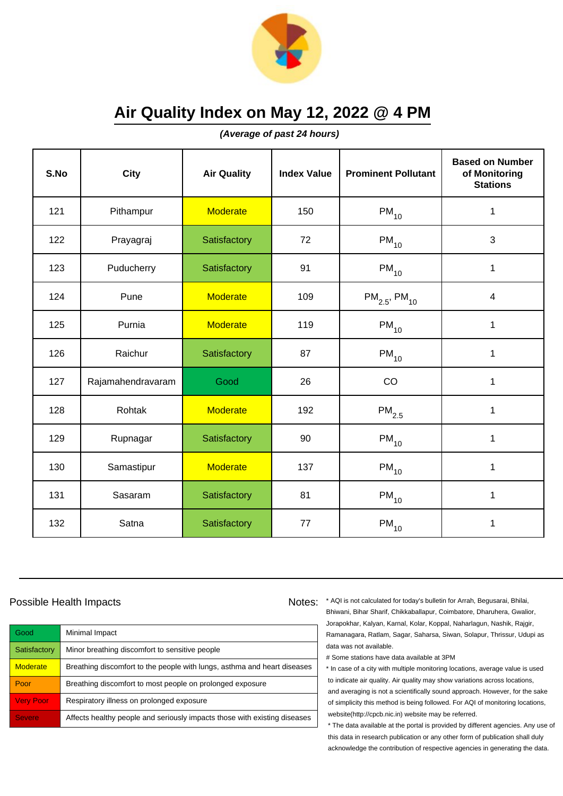

**(Average of past 24 hours)**

| S.No | <b>City</b>       | <b>Air Quality</b> | <b>Index Value</b> | <b>Prominent Pollutant</b>    | <b>Based on Number</b><br>of Monitoring<br><b>Stations</b> |
|------|-------------------|--------------------|--------------------|-------------------------------|------------------------------------------------------------|
| 121  | Pithampur         | <b>Moderate</b>    | 150                | $\mathsf{PM}_{10}$            | 1                                                          |
| 122  | Prayagraj         | Satisfactory       | 72                 | $PM_{10}$                     | 3                                                          |
| 123  | Puducherry        | Satisfactory       | 91                 | $\mathsf{PM}_{10}$            | 1                                                          |
| 124  | Pune              | <b>Moderate</b>    | 109                | $PM_{2.5}$ , PM <sub>10</sub> | $\overline{\mathcal{A}}$                                   |
| 125  | Purnia            | <b>Moderate</b>    | 119                | $PM_{10}$                     | $\mathbf{1}$                                               |
| 126  | Raichur           | Satisfactory       | 87                 | $\mathsf{PM}_{10}$            | 1                                                          |
| 127  | Rajamahendravaram | Good               | 26                 | CO                            | 1                                                          |
| 128  | Rohtak            | <b>Moderate</b>    | 192                | $\mathsf{PM}_{2.5}$           | 1                                                          |
| 129  | Rupnagar          | Satisfactory       | 90                 | $PM_{10}$                     | 1                                                          |
| 130  | Samastipur        | <b>Moderate</b>    | 137                | $PM_{10}$                     | 1                                                          |
| 131  | Sasaram           | Satisfactory       | 81                 | $PM_{10}$                     | 1                                                          |
| 132  | Satna             | Satisfactory       | 77                 | $\mathsf{PM}_{10}$            | 1                                                          |

### Possible Health Impacts

| Good             | Minimal Impact                                                            |
|------------------|---------------------------------------------------------------------------|
| Satisfactory     | Minor breathing discomfort to sensitive people                            |
| <b>Moderate</b>  | Breathing discomfort to the people with lungs, asthma and heart diseases  |
| Poor             | Breathing discomfort to most people on prolonged exposure                 |
| <b>Very Poor</b> | Respiratory illness on prolonged exposure                                 |
| <b>Severe</b>    | Affects healthy people and seriously impacts those with existing diseases |

Notes: \* AQI is not calculated for today's bulletin for Arrah, Begusarai, Bhilai, Bhiwani, Bihar Sharif, Chikkaballapur, Coimbatore, Dharuhera, Gwalior, Jorapokhar, Kalyan, Karnal, Kolar, Koppal, Naharlagun, Nashik, Rajgir, Ramanagara, Ratlam, Sagar, Saharsa, Siwan, Solapur, Thrissur, Udupi as data was not available.

# Some stations have data available at 3PM

\* In case of a city with multiple monitoring locations, average value is used to indicate air quality. Air quality may show variations across locations, and averaging is not a scientifically sound approach. However, for the sake of simplicity this method is being followed. For AQI of monitoring locations, website(http://cpcb.nic.in) website may be referred.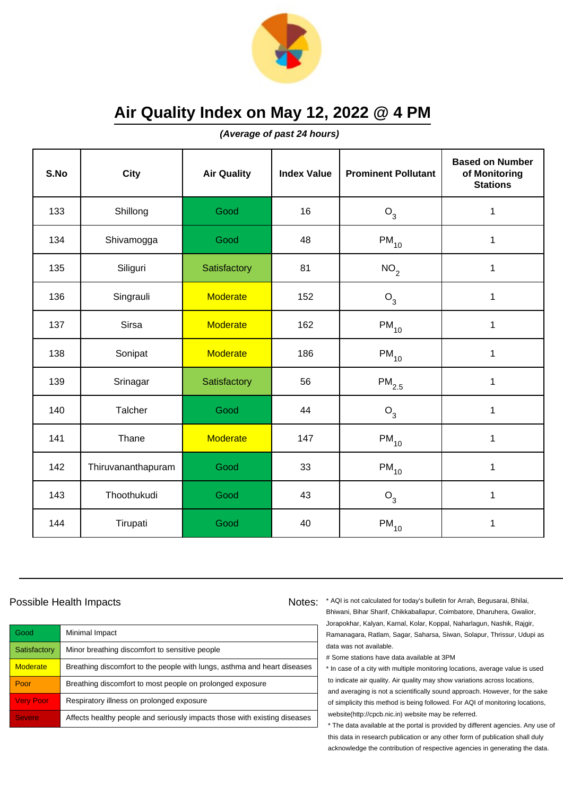

**(Average of past 24 hours)**

| S.No | <b>City</b>        | <b>Air Quality</b> | <b>Index Value</b> | <b>Prominent Pollutant</b> | <b>Based on Number</b><br>of Monitoring<br><b>Stations</b> |
|------|--------------------|--------------------|--------------------|----------------------------|------------------------------------------------------------|
| 133  | Shillong           | Good               | 16                 | $O_3$                      | 1                                                          |
| 134  | Shivamogga         | Good               | 48                 | $PM_{10}$                  | 1                                                          |
| 135  | Siliguri           | Satisfactory       | 81                 | NO <sub>2</sub>            | 1                                                          |
| 136  | Singrauli          | <b>Moderate</b>    | 152                | O <sub>3</sub>             | 1                                                          |
| 137  | <b>Sirsa</b>       | <b>Moderate</b>    | 162                | $PM_{10}$                  | $\mathbf{1}$                                               |
| 138  | Sonipat            | <b>Moderate</b>    | 186                | $\mathsf{PM}_{10}$         | 1                                                          |
| 139  | Srinagar           | Satisfactory       | 56                 | $PM_{2.5}$                 | 1                                                          |
| 140  | Talcher            | Good               | 44                 | $O_3$                      | 1                                                          |
| 141  | Thane              | <b>Moderate</b>    | 147                | $PM_{10}$                  | 1                                                          |
| 142  | Thiruvananthapuram | Good               | 33                 | $PM_{10}$                  | 1                                                          |
| 143  | Thoothukudi        | Good               | 43                 | $O_3$                      | $\mathbf{1}$                                               |
| 144  | Tirupati           | Good               | 40                 | $\mathsf{PM}_{10}$         | 1                                                          |

### Possible Health Impacts Notes: Notes:

Good Minimal Impact Satisfactory | Minor breathing discomfort to sensitive people Moderate **Breathing discomfort to the people with lungs**, asthma and heart diseases Poor **Breathing discomfort to most people on prolonged exposure** Very Poor Respiratory illness on prolonged exposure Severe **Affects healthy people and seriously impacts those with existing diseases** 

\* AQI is not calculated for today's bulletin for Arrah, Begusarai, Bhilai, Bhiwani, Bihar Sharif, Chikkaballapur, Coimbatore, Dharuhera, Gwalior, Jorapokhar, Kalyan, Karnal, Kolar, Koppal, Naharlagun, Nashik, Rajgir, Ramanagara, Ratlam, Sagar, Saharsa, Siwan, Solapur, Thrissur, Udupi as data was not available.

# Some stations have data available at 3PM

\* In case of a city with multiple monitoring locations, average value is used to indicate air quality. Air quality may show variations across locations, and averaging is not a scientifically sound approach. However, for the sake of simplicity this method is being followed. For AQI of monitoring locations, website(http://cpcb.nic.in) website may be referred.